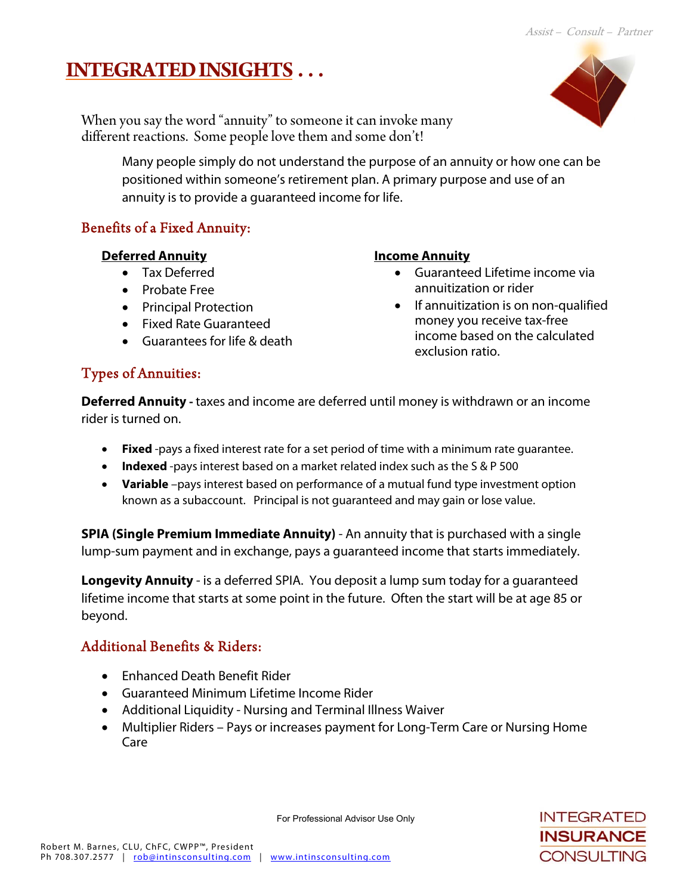# **INTEGRATED INSIGHTS . . .**



When you say the word "annuity" to someone it can invoke many different reactions. Some people love them and some don't!

> Many people simply do not understand the purpose of an annuity or how one can be positioned within someone's retirement plan. A primary purpose and use of an annuity is to provide a guaranteed income for life.

## Benefits of a Fixed Annuity:

#### **Deferred Annuity**

- Tax Deferred
- Probate Free
- Principal Protection
- Fixed Rate Guaranteed
- Guarantees for life & death

#### **Income Annuity**

- Guaranteed Lifetime income via annuitization or rider
- If annuitization is on non-qualified money you receive tax-free income based on the calculated exclusion ratio.

## Types of Annuities:

**Deferred Annuity** - taxes and income are deferred until money is withdrawn or an income rider is turned on.

- **Fixed** -pays a fixed interest rate for a set period of time with a minimum rate guarantee.
- **Indexed** -pays interest based on a market related index such as the S & P 500
- **Variable** –pays interest based on performance of a mutual fund type investment option known as a subaccount. Principal is not guaranteed and may gain or lose value.

**SPIA (Single Premium Immediate Annuity)** - An annuity that is purchased with a single lump-sum payment and in exchange, pays a guaranteed income that starts immediately.

**Longevity Annuity** - is a deferred SPIA. You deposit a lump sum today for a guaranteed lifetime income that starts at some point in the future. Often the start will be at age 85 or beyond.

# Additional Benefits & Riders:

- Enhanced Death Benefit Rider
- Guaranteed Minimum Lifetime Income Rider
- Additional Liquidity Nursing and Terminal Illness Waiver
- Multiplier Riders Pays or increases payment for Long-Term Care or Nursing Home Care